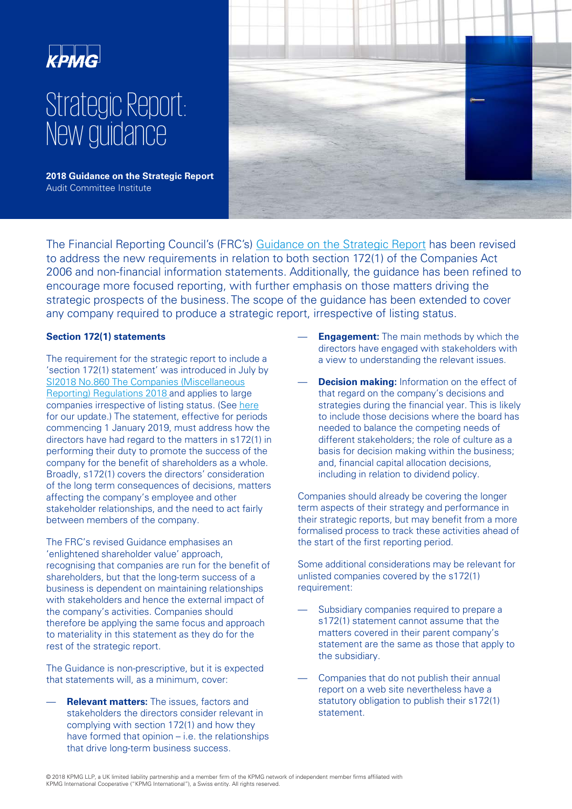

# Strategic Report: New guidance

**2018 Guidance on the Strategic Report**  Audit Committee Institute



The Financial Reporting Council's (FRC's) [Guidance on the Strategic Report](https://www.frc.org.uk/getattachment/fb05dd7b-c76c-424e-9daf-4293c9fa2d6a/Guidance-on-the-Strategic-Report-31-7-18.pdf) has been revised to address the new requirements in relation to both section 172(1) of the Companies Act 2006 and non-financial information statements. Additionally, the guidance has been refined to encourage more focused reporting, with further emphasis on those matters driving the strategic prospects of the business. The scope of the guidance has been extended to cover any company required to produce a strategic report, irrespective of listing status.

## **Section 172(1) statements**

The requirement for the strategic report to include a 'section 172(1) statement' was introduced in July by SI2018 No.860 The Companies (Miscellaneous [Reporting\) Regulations 2018 and applies to larg](http://www.legislation.gov.uk/uksi/2018/860/contents/made)e companies irrespective of listing status. (See [here](https://assets.kpmg.com/content/dam/kpmg/uk/pdf/2018/06/blc-new-reporting-requirements.pdf) for our update.) The statement, effective for periods commencing 1 January 2019, must address how the directors have had regard to the matters in s172(1) in performing their duty to promote the success of the company for the benefit of shareholders as a whole. Broadly, s172(1) covers the directors' consideration of the long term consequences of decisions, matters affecting the company's employee and other stakeholder relationships, and the need to act fairly between members of the company.

The FRC's revised Guidance emphasises an 'enlightened shareholder value' approach, recognising that companies are run for the benefit of shareholders, but that the long-term success of a business is dependent on maintaining relationships with stakeholders and hence the external impact of the company's activities. Companies should therefore be applying the same focus and approach to materiality in this statement as they do for the rest of the strategic report.

The Guidance is non-prescriptive, but it is expected that statements will, as a minimum, cover:

— **Relevant matters:** The issues, factors and stakeholders the directors consider relevant in complying with section 172(1) and how they have formed that opinion – i.e. the relationships that drive long-term business success.

- **Engagement:** The main methods by which the directors have engaged with stakeholders with a view to understanding the relevant issues.
- **Decision making:** Information on the effect of that regard on the company's decisions and strategies during the financial year. This is likely to include those decisions where the board has needed to balance the competing needs of different stakeholders; the role of culture as a basis for decision making within the business; and, financial capital allocation decisions, including in relation to dividend policy.

Companies should already be covering the longer term aspects of their strategy and performance in their strategic reports, but may benefit from a more formalised process to track these activities ahead of the start of the first reporting period.

Some additional considerations may be relevant for unlisted companies covered by the s172(1) requirement:

- Subsidiary companies required to prepare a s172(1) statement cannot assume that the matters covered in their parent company's statement are the same as those that apply to the subsidiary.
- Companies that do not publish their annual report on a web site nevertheless have a statutory obligation to publish their s172(1) statement.